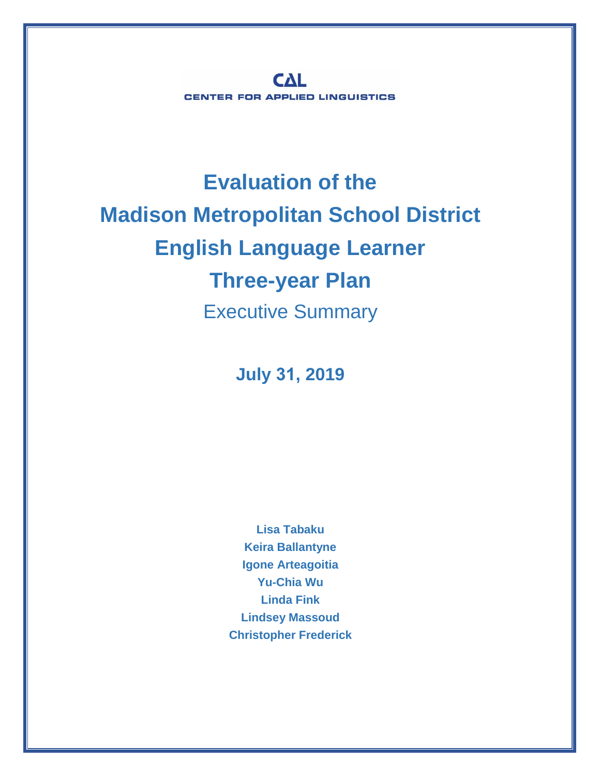**CAL CENTER FOR APPLIED LINGUISTICS** 

## **Evaluation of the Madison Metropolitan School District English Language Learner Three-year Plan** Executive Summary

**July 31, 2019**

**Lisa Tabaku Keira Ballantyne Igone Arteagoitia Yu-Chia Wu Linda Fink Lindsey Massoud Christopher Frederick**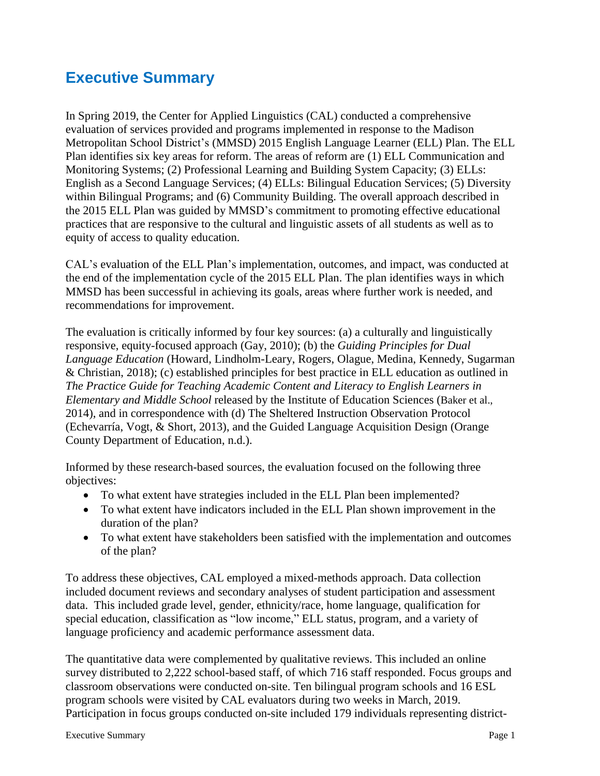## **Executive Summary**

In Spring 2019, the Center for Applied Linguistics (CAL) conducted a comprehensive evaluation of services provided and programs implemented in response to the Madison Metropolitan School District's (MMSD) 2015 English Language Learner (ELL) Plan. The ELL Plan identifies six key areas for reform. The areas of reform are (1) ELL Communication and Monitoring Systems; (2) Professional Learning and Building System Capacity; (3) ELLs: English as a Second Language Services; (4) ELLs: Bilingual Education Services; (5) Diversity within Bilingual Programs; and (6) Community Building. The overall approach described in the 2015 ELL Plan was guided by MMSD's commitment to promoting effective educational practices that are responsive to the cultural and linguistic assets of all students as well as to equity of access to quality education.

CAL's evaluation of the ELL Plan's implementation, outcomes, and impact, was conducted at the end of the implementation cycle of the 2015 ELL Plan. The plan identifies ways in which MMSD has been successful in achieving its goals, areas where further work is needed, and recommendations for improvement.

The evaluation is critically informed by four key sources: (a) a culturally and linguistically responsive, equity-focused approach (Gay, 2010); (b) the *Guiding [Principles](http://www.cal.org/resource-center/publications-products/guiding-principles-3) for Dual Language [Education](http://www.cal.org/resource-center/publications-products/guiding-principles-3)* (Howard, Lindholm-Leary, Rogers, Olague, Medina, Kennedy, Sugarman & Christian, 2018); (c) established principles for best practice in ELL education as outlined in *The Practice Guide for Teaching [Academic](https://ies.ed.gov/ncee/wwc/PracticeGuide/19) Content and Literacy to English Learners in [Elementary](https://ies.ed.gov/ncee/wwc/PracticeGuide/19) and Middle School* released by the Institute of Education Sciences (Baker et al., 2014), and in correspondence with (d) The Sheltered Instruction [Observation](http://www.cal.org/siop/about/) Protocol (Echevarría, Vogt, & Short, 2013), and the Guided Language [Acquisition](http://projectgladstudy.educationnorthwest.org/) Design (Orange County Department of Education, n.d.).

Informed by these research-based sources, the evaluation focused on the following three objectives:

- To what extent have strategies included in the ELL Plan been implemented?
- To what extent have indicators included in the ELL Plan shown improvement in the duration of the plan?
- To what extent have stakeholders been satisfied with the implementation and outcomes of the plan?

To address these objectives, CAL employed a mixed-methods approach. Data collection included document reviews and secondary analyses of student participation and assessment data. This included grade level, gender, ethnicity/race, home language, qualification for special education, classification as "low income," ELL status, program, and a variety of language proficiency and academic performance assessment data.

The quantitative data were complemented by qualitative reviews. This included an online survey distributed to 2,222 school-based staff, of which 716 staff responded. Focus groups and classroom observations were conducted on-site. Ten bilingual program schools and 16 ESL program schools were visited by CAL evaluators during two weeks in March, 2019. Participation in focus groups conducted on-site included 179 individuals representing district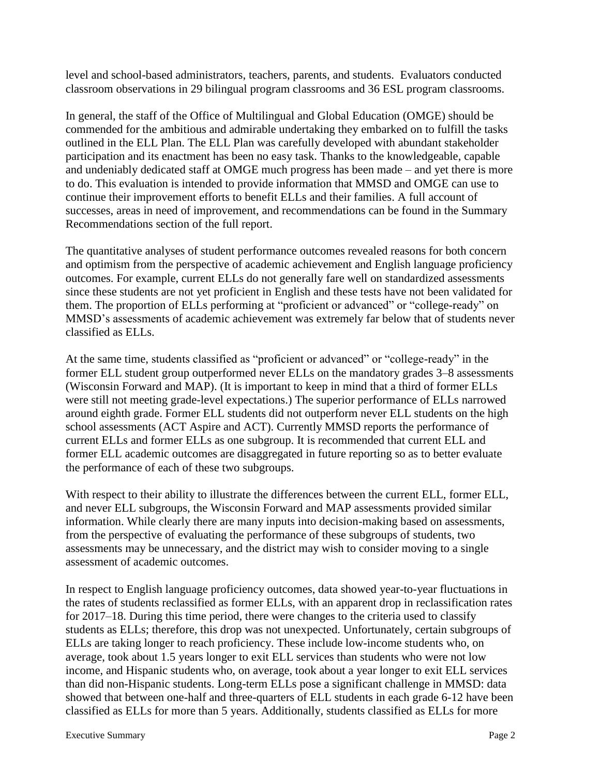level and school-based administrators, teachers, parents, and students. Evaluators conducted classroom observations in 29 bilingual program classrooms and 36 ESL program classrooms.

In general, the staff of the Office of Multilingual and Global Education (OMGE) should be commended for the ambitious and admirable undertaking they embarked on to fulfill the tasks outlined in the ELL Plan. The ELL Plan was carefully developed with abundant stakeholder participation and its enactment has been no easy task. Thanks to the knowledgeable, capable and undeniably dedicated staff at OMGE much progress has been made – and yet there is more to do. This evaluation is intended to provide information that MMSD and OMGE can use to continue their improvement efforts to benefit ELLs and their families. A full account of successes, areas in need of improvement, and recommendations can be found in the Summary Recommendations section of the full report.

The quantitative analyses of student performance outcomes revealed reasons for both concern and optimism from the perspective of academic achievement and English language proficiency outcomes. For example, current ELLs do not generally fare well on standardized assessments since these students are not yet proficient in English and these tests have not been validated for them. The proportion of ELLs performing at "proficient or advanced" or "college-ready" on MMSD's assessments of academic achievement was extremely far below that of students never classified as ELLs.

At the same time, students classified as "proficient or advanced" or "college-ready" in the former ELL student group outperformed never ELLs on the mandatory grades 3–8 assessments (Wisconsin Forward and MAP). (It is important to keep in mind that a third of former ELLs were still not meeting grade-level expectations.) The superior performance of ELLs narrowed around eighth grade. Former ELL students did not outperform never ELL students on the high school assessments (ACT Aspire and ACT). Currently MMSD reports the performance of current ELLs and former ELLs as one subgroup. It is recommended that current ELL and former ELL academic outcomes are disaggregated in future reporting so as to better evaluate the performance of each of these two subgroups.

With respect to their ability to illustrate the differences between the current ELL, former ELL, and never ELL subgroups, the Wisconsin Forward and MAP assessments provided similar information. While clearly there are many inputs into decision-making based on assessments, from the perspective of evaluating the performance of these subgroups of students, two assessments may be unnecessary, and the district may wish to consider moving to a single assessment of academic outcomes.

In respect to English language proficiency outcomes, data showed year-to-year fluctuations in the rates of students reclassified as former ELLs, with an apparent drop in reclassification rates for 2017–18. During this time period, there were changes to the criteria used to classify students as ELLs; therefore, this drop was not unexpected. Unfortunately, certain subgroups of ELLs are taking longer to reach proficiency. These include low-income students who, on average, took about 1.5 years longer to exit ELL services than students who were not low income, and Hispanic students who, on average, took about a year longer to exit ELL services than did non-Hispanic students. Long-term ELLs pose a significant challenge in MMSD: data showed that between one-half and three-quarters of ELL students in each grade 6-12 have been classified as ELLs for more than 5 years. Additionally, students classified as ELLs for more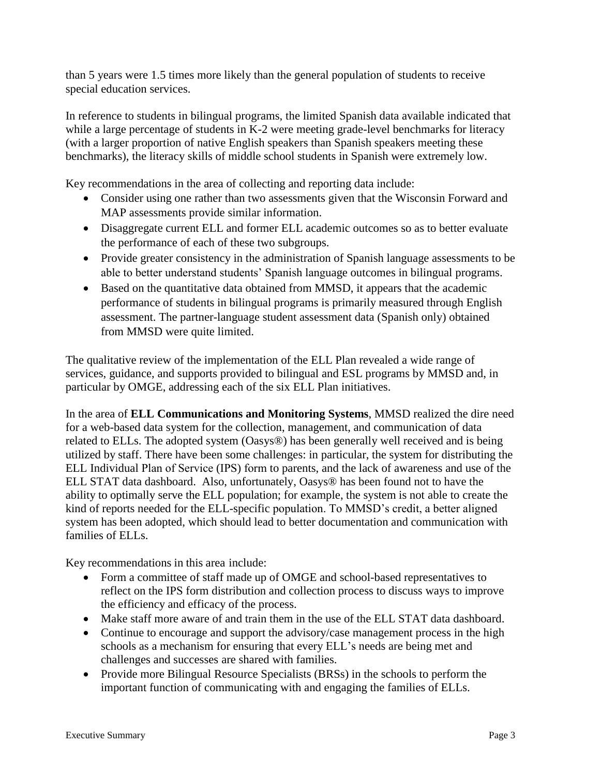than 5 years were 1.5 times more likely than the general population of students to receive special education services.

In reference to students in bilingual programs, the limited Spanish data available indicated that while a large percentage of students in K-2 were meeting grade-level benchmarks for literacy (with a larger proportion of native English speakers than Spanish speakers meeting these benchmarks), the literacy skills of middle school students in Spanish were extremely low.

Key recommendations in the area of collecting and reporting data include:

- Consider using one rather than two assessments given that the Wisconsin Forward and MAP assessments provide similar information.
- Disaggregate current ELL and former ELL academic outcomes so as to better evaluate the performance of each of these two subgroups.
- Provide greater consistency in the administration of Spanish language assessments to be able to better understand students' Spanish language outcomes in bilingual programs.
- Based on the quantitative data obtained from MMSD, it appears that the academic performance of students in bilingual programs is primarily measured through English assessment. The partner-language student assessment data (Spanish only) obtained from MMSD were quite limited.

The qualitative review of the implementation of the ELL Plan revealed a wide range of services, guidance, and supports provided to bilingual and ESL programs by MMSD and, in particular by OMGE, addressing each of the six ELL Plan initiatives.

In the area of **ELL Communications and Monitoring Systems**, MMSD realized the dire need for a web-based data system for the collection, management, and communication of data related to ELLs. The adopted system (Oasys®) has been generally well received and is being utilized by staff. There have been some challenges: in particular, the system for distributing the ELL Individual Plan of Service (IPS) form to parents, and the lack of awareness and use of the ELL STAT data dashboard. Also, unfortunately, Oasys® has been found not to have the ability to optimally serve the ELL population; for example, the system is not able to create the kind of reports needed for the ELL-specific population. To MMSD's credit, a better aligned system has been adopted, which should lead to better documentation and communication with families of ELLs.

Key recommendations in this area include:

- Form a committee of staff made up of OMGE and school-based representatives to reflect on the IPS form distribution and collection process to discuss ways to improve the efficiency and efficacy of the process.
- Make staff more aware of and train them in the use of the ELL STAT data dashboard.
- Continue to encourage and support the advisory/case management process in the high schools as a mechanism for ensuring that every ELL's needs are being met and challenges and successes are shared with families.
- Provide more Bilingual Resource Specialists (BRSs) in the schools to perform the important function of communicating with and engaging the families of ELLs.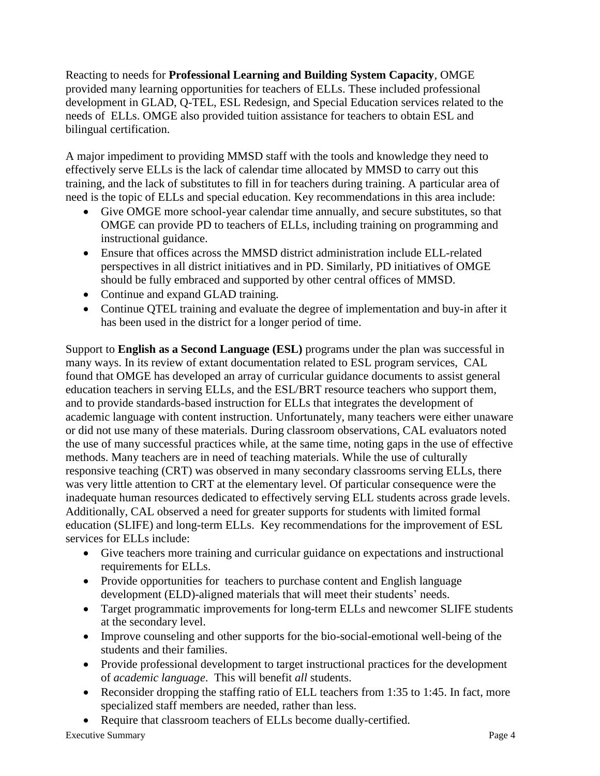Reacting to needs for **Professional Learning and Building System Capacity**, OMGE provided many learning opportunities for teachers of ELLs. These included professional development in GLAD, Q-TEL, ESL Redesign, and Special Education services related to the needs of ELLs. OMGE also provided tuition assistance for teachers to obtain ESL and bilingual certification.

A major impediment to providing MMSD staff with the tools and knowledge they need to effectively serve ELLs is the lack of calendar time allocated by MMSD to carry out this training, and the lack of substitutes to fill in for teachers during training. A particular area of need is the topic of ELLs and special education. Key recommendations in this area include:

- Give OMGE more school-year calendar time annually, and secure substitutes, so that OMGE can provide PD to teachers of ELLs, including training on programming and instructional guidance.
- Ensure that offices across the MMSD district administration include ELL-related perspectives in all district initiatives and in PD. Similarly, PD initiatives of OMGE should be fully embraced and supported by other central offices of MMSD.
- Continue and expand GLAD training.
- Continue QTEL training and evaluate the degree of implementation and buy-in after it has been used in the district for a longer period of time.

Support to **English as a Second Language (ESL)** programs under the plan was successful in many ways. In its review of extant documentation related to ESL program services, CAL found that OMGE has developed an array of curricular guidance documents to assist general education teachers in serving ELLs, and the ESL/BRT resource teachers who support them, and to provide standards-based instruction for ELLs that integrates the development of academic language with content instruction. Unfortunately, many teachers were either unaware or did not use many of these materials. During classroom observations, CAL evaluators noted the use of many successful practices while, at the same time, noting gaps in the use of effective methods. Many teachers are in need of teaching materials. While the use of culturally responsive teaching (CRT) was observed in many secondary classrooms serving ELLs, there was very little attention to CRT at the elementary level. Of particular consequence were the inadequate human resources dedicated to effectively serving ELL students across grade levels. Additionally, CAL observed a need for greater supports for students with limited formal education (SLIFE) and long-term ELLs. Key recommendations for the improvement of ESL services for ELLs include:

- Give teachers more training and curricular guidance on expectations and instructional requirements for ELLs.
- Provide opportunities for teachers to purchase content and English language development (ELD)-aligned materials that will meet their students' needs.
- Target programmatic improvements for long-term ELLs and newcomer SLIFE students at the secondary level.
- Improve counseling and other supports for the bio-social-emotional well-being of the students and their families.
- Provide professional development to target instructional practices for the development of *academic language*. This will benefit *all* students.
- Reconsider dropping the staffing ratio of ELL teachers from 1:35 to 1:45. In fact, more specialized staff members are needed, rather than less.
- Require that classroom teachers of ELLs become dually-certified.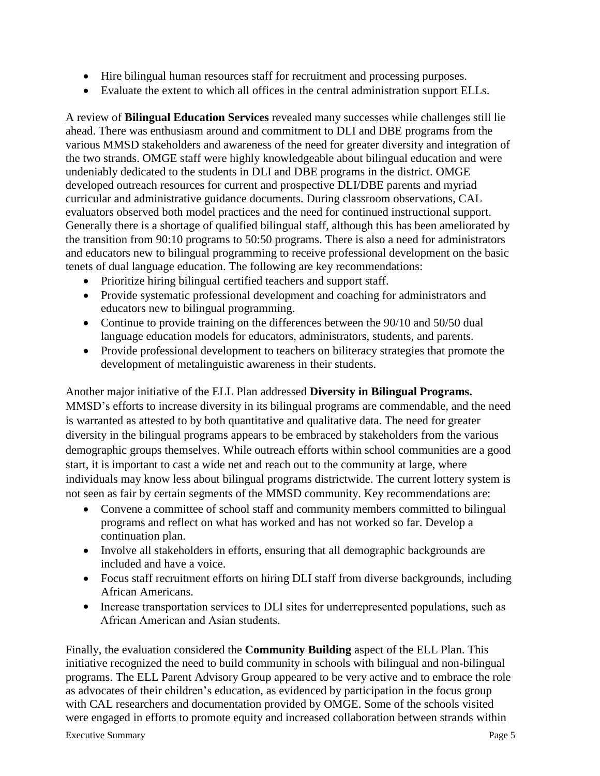- Hire bilingual human resources staff for recruitment and processing purposes.
- Evaluate the extent to which all offices in the central administration support ELLs.

A review of **Bilingual Education Services** revealed many successes while challenges still lie ahead. There was enthusiasm around and commitment to DLI and DBE programs from the various MMSD stakeholders and awareness of the need for greater diversity and integration of the two strands. OMGE staff were highly knowledgeable about bilingual education and were undeniably dedicated to the students in DLI and DBE programs in the district. OMGE developed outreach resources for current and prospective DLI/DBE parents and myriad curricular and administrative guidance documents. During classroom observations, CAL evaluators observed both model practices and the need for continued instructional support. Generally there is a shortage of qualified bilingual staff, although this has been ameliorated by the transition from 90:10 programs to 50:50 programs. There is also a need for administrators and educators new to bilingual programming to receive professional development on the basic tenets of dual language education. The following are key recommendations:

- Prioritize hiring bilingual certified teachers and support staff.
- Provide systematic professional development and coaching for administrators and educators new to bilingual programming.
- Continue to provide training on the differences between the 90/10 and 50/50 dual language education models for educators, administrators, students, and parents.
- Provide professional development to teachers on biliteracy strategies that promote the development of metalinguistic awareness in their students.

Another major initiative of the ELL Plan addressed **Diversity in Bilingual Programs.** MMSD's efforts to increase diversity in its bilingual programs are commendable, and the need is warranted as attested to by both quantitative and qualitative data. The need for greater diversity in the bilingual programs appears to be embraced by stakeholders from the various demographic groups themselves. While outreach efforts within school communities are a good start, it is important to cast a wide net and reach out to the community at large, where individuals may know less about bilingual programs districtwide. The current lottery system is not seen as fair by certain segments of the MMSD community. Key recommendations are:

- Convene a committee of school staff and community members committed to bilingual programs and reflect on what has worked and has not worked so far. Develop a continuation plan.
- Involve all stakeholders in efforts, ensuring that all demographic backgrounds are included and have a voice.
- Focus staff recruitment efforts on hiring DLI staff from diverse backgrounds, including African Americans.
- Increase transportation services to DLI sites for underrepresented populations, such as African American and Asian students.

Finally, the evaluation considered the **Community Building** aspect of the ELL Plan. This initiative recognized the need to build community in schools with bilingual and non-bilingual programs. The ELL Parent Advisory Group appeared to be very active and to embrace the role as advocates of their children's education, as evidenced by participation in the focus group with CAL researchers and documentation provided by OMGE. Some of the schools visited were engaged in efforts to promote equity and increased collaboration between strands within